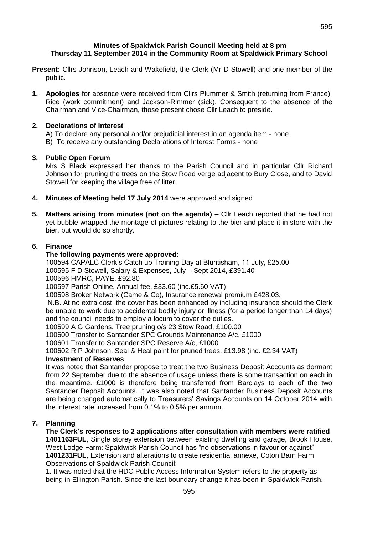## **Minutes of Spaldwick Parish Council Meeting held at 8 pm Thursday 11 September 2014 in the Community Room at Spaldwick Primary School**

- **Present:** Cllrs Johnson, Leach and Wakefield, the Clerk (Mr D Stowell) and one member of the public.
- **1. Apologies** for absence were received from Cllrs Plummer & Smith (returning from France), Rice (work commitment) and Jackson-Rimmer (sick). Consequent to the absence of the Chairman and Vice-Chairman, those present chose Cllr Leach to preside.

## **2. Declarations of Interest**

A) To declare any personal and/or prejudicial interest in an agenda item - none B) To receive any outstanding Declarations of Interest Forms - none

# **3. Public Open Forum**

Mrs S Black expressed her thanks to the Parish Council and in particular Cllr Richard Johnson for pruning the trees on the Stow Road verge adjacent to Bury Close, and to David Stowell for keeping the village free of litter.

- **4. Minutes of Meeting held 17 July 2014** were approved and signed
- **5. Matters arising from minutes (not on the agenda) –** Cllr Leach reported that he had not yet bubble wrapped the montage of pictures relating to the bier and place it in store with the bier, but would do so shortly.

# **6. Finance**

# **The following payments were approved:**

100594 CAPALC Clerk's Catch up Training Day at Bluntisham, 11 July, £25.00 100595 F D Stowell, Salary & Expenses, July – Sept 2014, £391.40 100596 HMRC, PAYE, £92.80

100597 Parish Online, Annual fee, £33.60 (inc.£5.60 VAT)

100598 Broker Network (Came & Co), Insurance renewal premium £428.03.

N.B. At no extra cost, the cover has been enhanced by including insurance should the Clerk be unable to work due to accidental bodily injury or illness (for a period longer than 14 days) and the council needs to employ a locum to cover the duties.

100599 A G Gardens, Tree pruning o/s 23 Stow Road, £100.00

100600 Transfer to Santander SPC Grounds Maintenance A/c, £1000

100601 Transfer to Santander SPC Reserve A/c, £1000

100602 R P Johnson, Seal & Heal paint for pruned trees, £13.98 (inc. £2.34 VAT)

# **Investment of Reserves**

It was noted that Santander propose to treat the two Business Deposit Accounts as dormant from 22 September due to the absence of usage unless there is some transaction on each in the meantime. £1000 is therefore being transferred from Barclays to each of the two Santander Deposit Accounts. It was also noted that Santander Business Deposit Accounts are being changed automatically to Treasurers' Savings Accounts on 14 October 2014 with the interest rate increased from 0.1% to 0.5% per annum.

# **7. Planning**

**The Clerk's responses to 2 applications after consultation with members were ratified 1401163FUL**, Single storey extension between existing dwelling and garage, Brook House, West Lodge Farm: Spaldwick Parish Council has "no observations in favour or against". **1401231FUL**, Extension and alterations to create residential annexe, Coton Barn Farm. Observations of Spaldwick Parish Council:

1. It was noted that the HDC Public Access Information System refers to the property as being in Ellington Parish. Since the last boundary change it has been in Spaldwick Parish.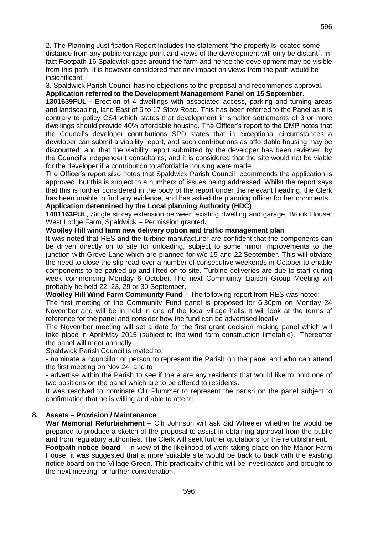2. The Planning Justification Report includes the statement "the property is located some distance from any public vantage point and views of the development will only be distant". In fact Footpath 16 Spaldwick goes around the farm and hence the development may be visible from this path. It is however considered that any impact on views from the path would be insignificant.

3. Spaldwick Parish Council has no objections to the proposal and recommends approval. **Application referred to the Development Management Panel on 15 September.**

**1301639FUL -** Erection of 4 dwellings with associated access, parking and turning areas and landscaping, land East of 5 to 17 Stow Road. This has been referred to the Panel as it is contrary to policy CS4 which states that development in smaller settlements of 3 or more dwellings should provide 40% affordable housing. The Officer's report to the DMP notes that the Council's developer contributions SPD states that in exceptional circumstances a developer can submit a viability report, and such contributions as affordable housing may be discounted; and that the viability report submitted by the developer has been reviewed by the Council's independent consultants, and it is considered that the site would not be viable for the developer if a contribution to affordable housing were made.

The Officer's report also notes that Spaldwick Parish Council recommends the application is approved, but this is subject to a numbers of issues being addressed. Whilst the report says that this is further considered in the body of the report under the relevant heading, the Clerk has been unable to find any evidence, and has asked the planning officer for her comments.

#### **Application determined by the Local planning Authority (HDC)**

**1401163FUL**, Single storey extension between existing dwelling and garage, Brook House, West Lodge Farm, Spaldwick – Permission granted**.**

#### **Woolley Hill wind farm new delivery option and traffic management plan**

It was noted that RES and the turbine manufacturer are confident that the components can be driven directly on to site for unloading, subject to some minor improvements to the junction with Grove Lane which are planned for w/c 15 and 22 September. This will obviate the need to close the slip road over a number of consecutive weekends in October to enable components to be parked up and lifted on to site. Turbine deliveries are due to start during week commencing Monday 6 October. The next Community Liaison Group Meeting will probably be held 22, 23, 29 or 30 September.

**Woolley Hill Wind Farm Community Fund –** The following report from RES was noted:

The first meeting of the Community Fund panel is proposed for 6.30pm on Monday 24 November and will be in held in one of the local village halls. It will look at the terms of reference for the panel and consider how the fund can be advertised locally.

The November meeting will set a date for the first grant decision making panel which will take place in April/May 2015 (subject to the wind farm construction timetable). Thereafter the panel will meet annually.

Spaldwick Parish Council is invited to:

- nominate a councillor or person to represent the Parish on the panel and who can attend the first meeting on Nov 24; and to

- advertise within the Parish to see if there are any residents that would like to hold one of two positions on the panel which are to be offered to residents.

It was resolved to nominate Cllr Plummer to represent the parish on the panel subject to confirmation that he is willing and able to attend.

## **8. Assets – Provision / Maintenance**

**War Memorial Refurbishment** – Cllr Johnson will ask Sid Wheeler whether he would be prepared to produce a sketch of the proposal to assist in obtaining approval from the public and from regulatory authorities. The Clerk will seek further quotations for the refurbishment.

**Footpath notice board** – in view of the likelihood of work taking place on the Manor Farm House, it was suggested that a more suitable site would be back to back with the existing notice board on the Village Green. This practicality of this will be investigated and brought to the next meeting for further consideration.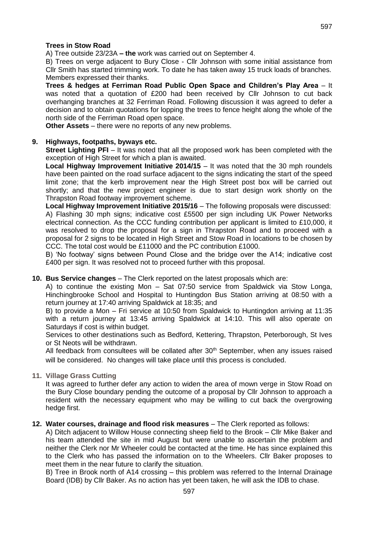A) Tree outside 23/23A **– the** work was carried out on September 4.

B) Trees on verge adjacent to Bury Close - Cllr Johnson with some initial assistance from Cllr Smith has started trimming work. To date he has taken away 15 truck loads of branches. Members expressed their thanks.

**Trees & hedges at Ferriman Road Public Open Space and Children's Play Area** – It was noted that a quotation of £200 had been received by Cllr Johnson to cut back overhanging branches at 32 Ferriman Road. Following discussion it was agreed to defer a decision and to obtain quotations for lopping the trees to fence height along the whole of the north side of the Ferriman Road open space.

**Other Assets** – there were no reports of any new problems.

#### **9. Highways, footpaths, byways etc.**

**Street Lighting PFI** – It was noted that all the proposed work has been completed with the exception of High Street for which a plan is awaited.

**Local Highway Improvement Initiative 2014/15** – It was noted that the 30 mph roundels have been painted on the road surface adjacent to the signs indicating the start of the speed limit zone; that the kerb improvement near the High Street post box will be carried out shortly; and that the new project engineer is due to start design work shortly on the Thrapston Road footway improvement scheme.

**Local Highway Improvement Initiative 2015/16** – The following proposals were discussed: A) Flashing 30 mph signs; indicative cost £5500 per sign including UK Power Networks electrical connection. As the CCC funding contribution per applicant is limited to £10,000, it was resolved to drop the proposal for a sign in Thrapston Road and to proceed with a proposal for 2 signs to be located in High Street and Stow Road in locations to be chosen by CCC. The total cost would be £11000 and the PC contribution £1000.

B) 'No footway' signs between Pound Close and the bridge over the A14; indicative cost £400 per sign. It was resolved not to proceed further with this proposal.

#### **10. Bus Service changes** – The Clerk reported on the latest proposals which are:

A) to continue the existing Mon – Sat 07:50 service from Spaldwick via Stow Longa, Hinchingbrooke School and Hospital to Huntingdon Bus Station arriving at 08:50 with a return journey at 17:40 arriving Spaldwick at 18:35; and

B) to provide a Mon – Fri service at 10:50 from Spaldwick to Huntingdon arriving at 11:35 with a return journey at 13:45 arriving Spaldwick at 14:10. This will also operate on Saturdays if cost is within budget.

Services to other destinations such as Bedford, Kettering, Thrapston, Peterborough, St Ives or St Neots will be withdrawn.

All feedback from consultees will be collated after  $30<sup>th</sup>$  September, when any issues raised will be considered. No changes will take place until this process is concluded.

**11. Village Grass Cutting**

It was agreed to further defer any action to widen the area of mown verge in Stow Road on the Bury Close boundary pending the outcome of a proposal by Cllr Johnson to approach a resident with the necessary equipment who may be willing to cut back the overgrowing hedge first.

#### **12. Water courses, drainage and flood risk measures** – The Clerk reported as follows:

A) Ditch adjacent to Willow House connecting sheep field to the Brook – Cllr Mike Baker and his team attended the site in mid August but were unable to ascertain the problem and neither the Clerk nor Mr Wheeler could be contacted at the time. He has since explained this to the Clerk who has passed the information on to the Wheelers. Cllr Baker proposes to meet them in the near future to clarify the situation.

B) Tree in Brook north of A14 crossing – this problem was referred to the Internal Drainage Board (IDB) by Cllr Baker. As no action has yet been taken, he will ask the IDB to chase.

597